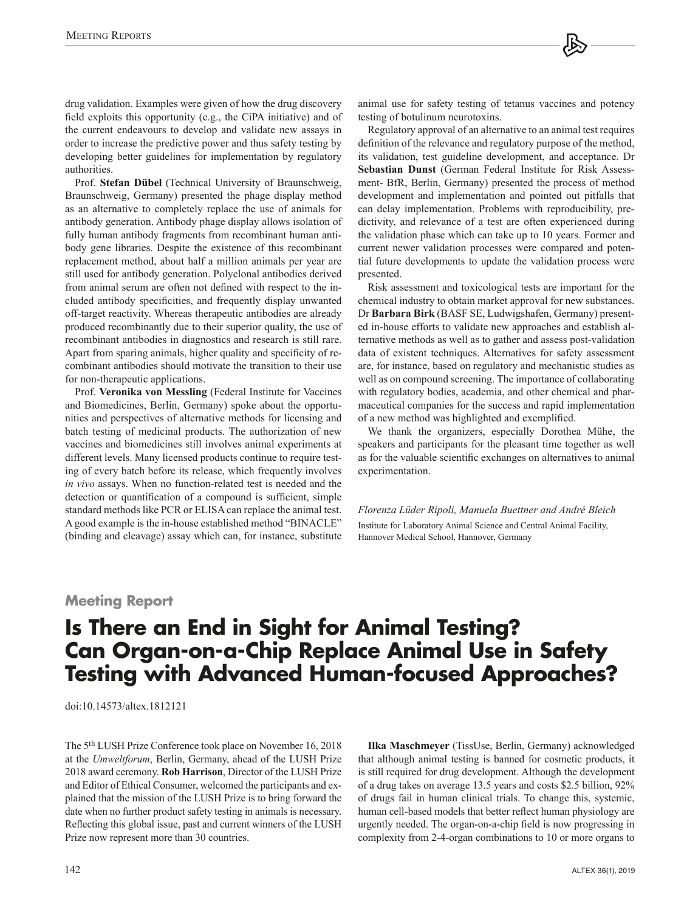drug validation. Examples were given of how the drug discovery field exploits this opportunity (e.g., the CiPA initiative) and of the current endeavours to develop and validate new assays in order to increase the predictive power and thus safety testing by developing better guidelines for implementation by regulatory authorities.

Prof. **Stefan Dübel** (Technical University of Braunschweig, Braunschweig, Germany) presented the phage display method as an alternative to completely replace the use of animals for antibody generation. Antibody phage display allows isolation of fully human antibody fragments from recombinant human antibody gene libraries. Despite the existence of this recombinant replacement method, about half a million animals per year are still used for antibody generation. Polyclonal antibodies derived from animal serum are often not defined with respect to the included antibody specificities, and frequently display unwanted off-target reactivity. Whereas therapeutic antibodies are already produced recombinantly due to their superior quality, the use of recombinant antibodies in diagnostics and research is still rare. Apart from sparing animals, higher quality and specificity of recombinant antibodies should motivate the transition to their use for non-therapeutic applications.

Prof. **Veronika von Messling** (Federal Institute for Vaccines and Biomedicines, Berlin, Germany) spoke about the opportunities and perspectives of alternative methods for licensing and batch testing of medicinal products. The authorization of new vaccines and biomedicines still involves animal experiments at different levels. Many licensed products continue to require testing of every batch before its release, which frequently involves *in vivo* assays. When no function-related test is needed and the detection or quantification of a compound is sufficient, simple standard methods like PCR or ELISA can replace the animal test. A good example is the in-house established method "BINACLE" (binding and cleavage) assay which can, for instance, substitute animal use for safety testing of tetanus vaccines and potency testing of botulinum neurotoxins.

Regulatory approval of an alternative to an animal test requires definition of the relevance and regulatory purpose of the method, its validation, test guideline development, and acceptance. Dr **Sebastian Dunst** (German Federal Institute for Risk Assessment- BfR, Berlin, Germany) presented the process of method development and implementation and pointed out pitfalls that can delay implementation. Problems with reproducibility, predictivity, and relevance of a test are often experienced during the validation phase which can take up to 10 years. Former and current newer validation processes were compared and potential future developments to update the validation process were presented.

Risk assessment and toxicological tests are important for the chemical industry to obtain market approval for new substances. Dr **Barbara Birk** (BASF SE, Ludwigshafen, Germany) presented in-house efforts to validate new approaches and establish alternative methods as well as to gather and assess post-validation data of existent techniques. Alternatives for safety assessment are, for instance, based on regulatory and mechanistic studies as well as on compound screening. The importance of collaborating with regulatory bodies, academia, and other chemical and pharmaceutical companies for the success and rapid implementation of a new method was highlighted and exemplified.

We thank the organizers, especially Dorothea Mühe, the speakers and participants for the pleasant time together as well as for the valuable scientific exchanges on alternatives to animal experimentation.

*Florenza Lüder Ripoli, Manuela Buettner and André Bleich* Institute for Laboratory Animal Science and Central Animal Facility, Hannover Medical School, Hannover, Germany

## **Meeting Report**

## **Is There an End in Sight for Animal Testing? Can Organ-on-a-Chip Replace Animal Use in Safety Testing with Advanced Human-focused Approaches?**

[doi:10.14573/altex.1812121](https://doi.org/10.14573/altex.1812121)

The 5th LUSH Prize Conference took place on November 16, 2018 at the *Umweltforum*, Berlin, Germany, ahead of the LUSH Prize 2018 award ceremony. **Rob Harrison**, Director of the LUSH Prize and Editor of Ethical Consumer, welcomed the participants and explained that the mission of the LUSH Prize is to bring forward the date when no further product safety testing in animals is necessary. Reflecting this global issue, past and current winners of the LUSH Prize now represent more than 30 countries.

**Ilka Maschmeyer** (TissUse, Berlin, Germany) acknowledged that although animal testing is banned for cosmetic products, it is still required for drug development. Although the development of a drug takes on average 13.5 years and costs \$2.5 billion, 92% of drugs fail in human clinical trials. To change this, systemic, human cell-based models that better reflect human physiology are urgently needed. The organ-on-a-chip field is now progressing in complexity from 2-4-organ combinations to 10 or more organs to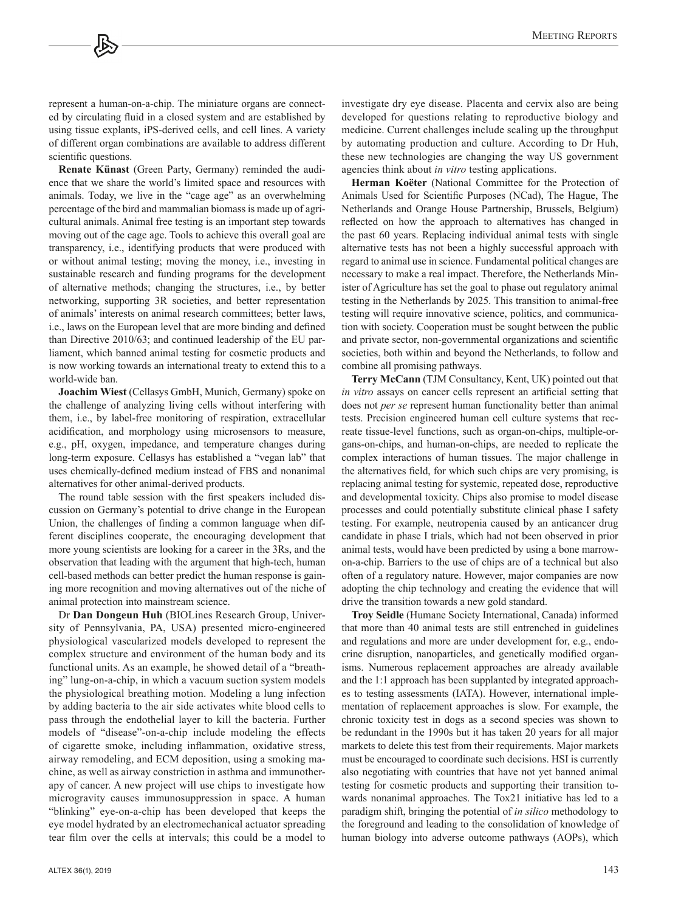represent a human-on-a-chip. The miniature organs are connected by circulating fluid in a closed system and are established by using tissue explants, iPS-derived cells, and cell lines. A variety of different organ combinations are available to address different scientific questions.

**Renate Künast** (Green Party, Germany) reminded the audience that we share the world's limited space and resources with animals. Today, we live in the "cage age" as an overwhelming percentage of the bird and mammalian biomass is made up of agricultural animals. Animal free testing is an important step towards moving out of the cage age. Tools to achieve this overall goal are transparency, i.e., identifying products that were produced with or without animal testing; moving the money, i.e., investing in sustainable research and funding programs for the development of alternative methods; changing the structures, i.e., by better networking, supporting 3R societies, and better representation of animals' interests on animal research committees; better laws, i.e., laws on the European level that are more binding and defined than Directive 2010/63; and continued leadership of the EU parliament, which banned animal testing for cosmetic products and is now working towards an international treaty to extend this to a world-wide ban.

**Joachim Wiest** (Cellasys GmbH, Munich, Germany) spoke on the challenge of analyzing living cells without interfering with them, i.e., by label-free monitoring of respiration, extracellular acidification, and morphology using microsensors to measure, e.g., pH, oxygen, impedance, and temperature changes during long-term exposure. Cellasys has established a "vegan lab" that uses chemically-defined medium instead of FBS and nonanimal alternatives for other animal-derived products.

The round table session with the first speakers included discussion on Germany's potential to drive change in the European Union, the challenges of finding a common language when different disciplines cooperate, the encouraging development that more young scientists are looking for a career in the 3Rs, and the observation that leading with the argument that high-tech, human cell-based methods can better predict the human response is gaining more recognition and moving alternatives out of the niche of animal protection into mainstream science.

Dr **Dan Dongeun Huh** (BIOLines Research Group, University of Pennsylvania, PA, USA) presented micro-engineered physiological vascularized models developed to represent the complex structure and environment of the human body and its functional units. As an example, he showed detail of a "breathing" lung-on-a-chip, in which a vacuum suction system models the physiological breathing motion. Modeling a lung infection by adding bacteria to the air side activates white blood cells to pass through the endothelial layer to kill the bacteria. Further models of "disease"-on-a-chip include modeling the effects of cigarette smoke, including inflammation, oxidative stress, airway remodeling, and ECM deposition, using a smoking machine, as well as airway constriction in asthma and immunotherapy of cancer. A new project will use chips to investigate how microgravity causes immunosuppression in space. A human "blinking" eye-on-a-chip has been developed that keeps the eye model hydrated by an electromechanical actuator spreading tear film over the cells at intervals; this could be a model to investigate dry eye disease. Placenta and cervix also are being developed for questions relating to reproductive biology and medicine. Current challenges include scaling up the throughput by automating production and culture. According to Dr Huh, these new technologies are changing the way US government agencies think about *in vitro* testing applications.

**Herman Koëter** (National Committee for the Protection of Animals Used for Scientific Purposes (NCad), The Hague, The Netherlands and Orange House Partnership, Brussels, Belgium) reflected on how the approach to alternatives has changed in the past 60 years. Replacing individual animal tests with single alternative tests has not been a highly successful approach with regard to animal use in science. Fundamental political changes are necessary to make a real impact. Therefore, the Netherlands Minister of Agriculture has set the goal to phase out regulatory animal testing in the Netherlands by 2025. This transition to animal-free testing will require innovative science, politics, and communication with society. Cooperation must be sought between the public and private sector, non-governmental organizations and scientific societies, both within and beyond the Netherlands, to follow and combine all promising pathways.

**Terry McCann** (TJM Consultancy, Kent, UK) pointed out that *in vitro* assays on cancer cells represent an artificial setting that does not *per se* represent human functionality better than animal tests. Precision engineered human cell culture systems that recreate tissue-level functions, such as organ-on-chips, multiple-organs-on-chips, and human-on-chips, are needed to replicate the complex interactions of human tissues. The major challenge in the alternatives field, for which such chips are very promising, is replacing animal testing for systemic, repeated dose, reproductive and developmental toxicity. Chips also promise to model disease processes and could potentially substitute clinical phase I safety testing. For example, neutropenia caused by an anticancer drug candidate in phase I trials, which had not been observed in prior animal tests, would have been predicted by using a bone marrowon-a-chip. Barriers to the use of chips are of a technical but also often of a regulatory nature. However, major companies are now adopting the chip technology and creating the evidence that will drive the transition towards a new gold standard.

**Troy Seidle** (Humane Society International, Canada) informed that more than 40 animal tests are still entrenched in guidelines and regulations and more are under development for, e.g., endocrine disruption, nanoparticles, and genetically modified organisms. Numerous replacement approaches are already available and the 1:1 approach has been supplanted by integrated approaches to testing assessments (IATA). However, international implementation of replacement approaches is slow. For example, the chronic toxicity test in dogs as a second species was shown to be redundant in the 1990s but it has taken 20 years for all major markets to delete this test from their requirements. Major markets must be encouraged to coordinate such decisions. HSI is currently also negotiating with countries that have not yet banned animal testing for cosmetic products and supporting their transition towards nonanimal approaches. The Tox21 initiative has led to a paradigm shift, bringing the potential of *in silico* methodology to the foreground and leading to the consolidation of knowledge of human biology into adverse outcome pathways (AOPs), which